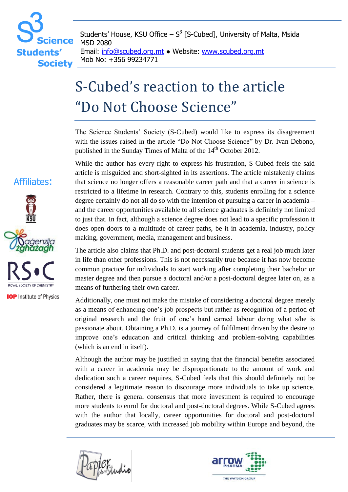## cience **Students' Society**

Students' House, KSU Office  $- S<sup>3</sup>$  [S-Cubed], University of Malta, Msida MSD 2080

Email: info@scubed.org.mt ● Website: www.scubed.org.mt Mob No: +356 99234771

## S-Cubed's reaction to the article "Do Not Choose Science"

The Science Students' Society (S-Cubed) would like to express its disagreement with the issues raised in the article "Do Not Choose Science" by Dr. Ivan Debono, published in the Sunday Times of Malta of the 14<sup>th</sup> October 2012.

While the author has every right to express his frustration, S-Cubed feels the said article is misguided and short-sighted in its assertions. The article mistakenly claims that science no longer offers a reasonable career path and that a career in science is restricted to a lifetime in research. Contrary to this, students enrolling for a science degree certainly do not all do so with the intention of pursuing a career in academia – and the career opportunities available to all science graduates is definitely not limited to just that. In fact, although a science degree does not lead to a specific profession it does open doors to a multitude of career paths, be it in academia, industry, policy making, government, media, management and business.

The article also claims that Ph.D. and post-doctoral students get a real job much later in life than other professions. This is not necessarily true because it has now become common practice for individuals to start working after completing their bachelor or master degree and then pursue a doctoral and/or a post-doctoral degree later on, as a means of furthering their own career.

Additionally, one must not make the mistake of considering a doctoral degree merely as a means of enhancing one's job prospects but rather as recognition of a period of original research and the fruit of one's hard earned labour doing what s/he is passionate about. Obtaining a Ph.D. is a journey of fulfilment driven by the desire to improve one's education and critical thinking and problem-solving capabilities (which is an end in itself).

Although the author may be justified in saying that the financial benefits associated with a career in academia may be disproportionate to the amount of work and dedication such a career requires, S-Cubed feels that this should definitely not be considered a legitimate reason to discourage more individuals to take up science. Rather, there is general consensus that more investment is required to encourage more students to enrol for doctoral and post-doctoral degrees. While S-Cubed agrees with the author that locally, career opportunities for doctoral and post-doctoral graduates may be scarce, with increased job mobility within Europe and beyond, the





## Affiliates:



**IOP** Institute of Physics